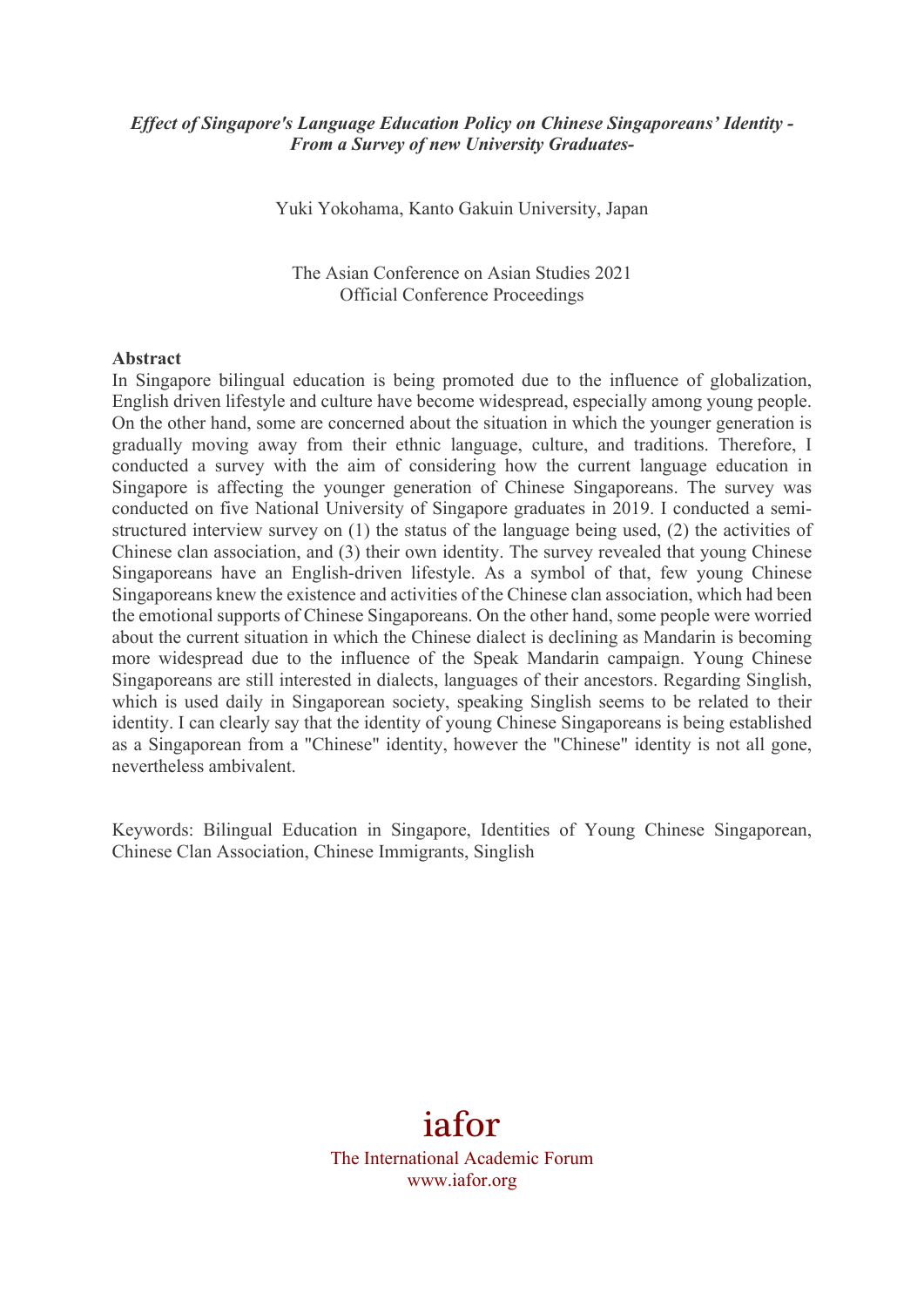### *Effect of Singapore's Language Education Policy on Chinese Singaporeans' Identity - From a Survey of new University Graduates-*

Yuki Yokohama, Kanto Gakuin University, Japan

The Asian Conference on Asian Studies 2021 Official Conference Proceedings

#### **Abstract**

In Singapore bilingual education is being promoted due to the influence of globalization, English driven lifestyle and culture have become widespread, especially among young people. On the other hand, some are concerned about the situation in which the younger generation is gradually moving away from their ethnic language, culture, and traditions. Therefore, I conducted a survey with the aim of considering how the current language education in Singapore is affecting the younger generation of Chinese Singaporeans. The survey was conducted on five National University of Singapore graduates in 2019. I conducted a semistructured interview survey on (1) the status of the language being used, (2) the activities of Chinese clan association, and (3) their own identity. The survey revealed that young Chinese Singaporeans have an English-driven lifestyle. As a symbol of that, few young Chinese Singaporeans knew the existence and activities of the Chinese clan association, which had been the emotional supports of Chinese Singaporeans. On the other hand, some people were worried about the current situation in which the Chinese dialect is declining as Mandarin is becoming more widespread due to the influence of the Speak Mandarin campaign. Young Chinese Singaporeans are still interested in dialects, languages of their ancestors. Regarding Singlish, which is used daily in Singaporean society, speaking Singlish seems to be related to their identity. I can clearly say that the identity of young Chinese Singaporeans is being established as a Singaporean from a "Chinese" identity, however the "Chinese" identity is not all gone, nevertheless ambivalent.

Keywords: Bilingual Education in Singapore, Identities of Young Chinese Singaporean, Chinese Clan Association, Chinese Immigrants, Singlish

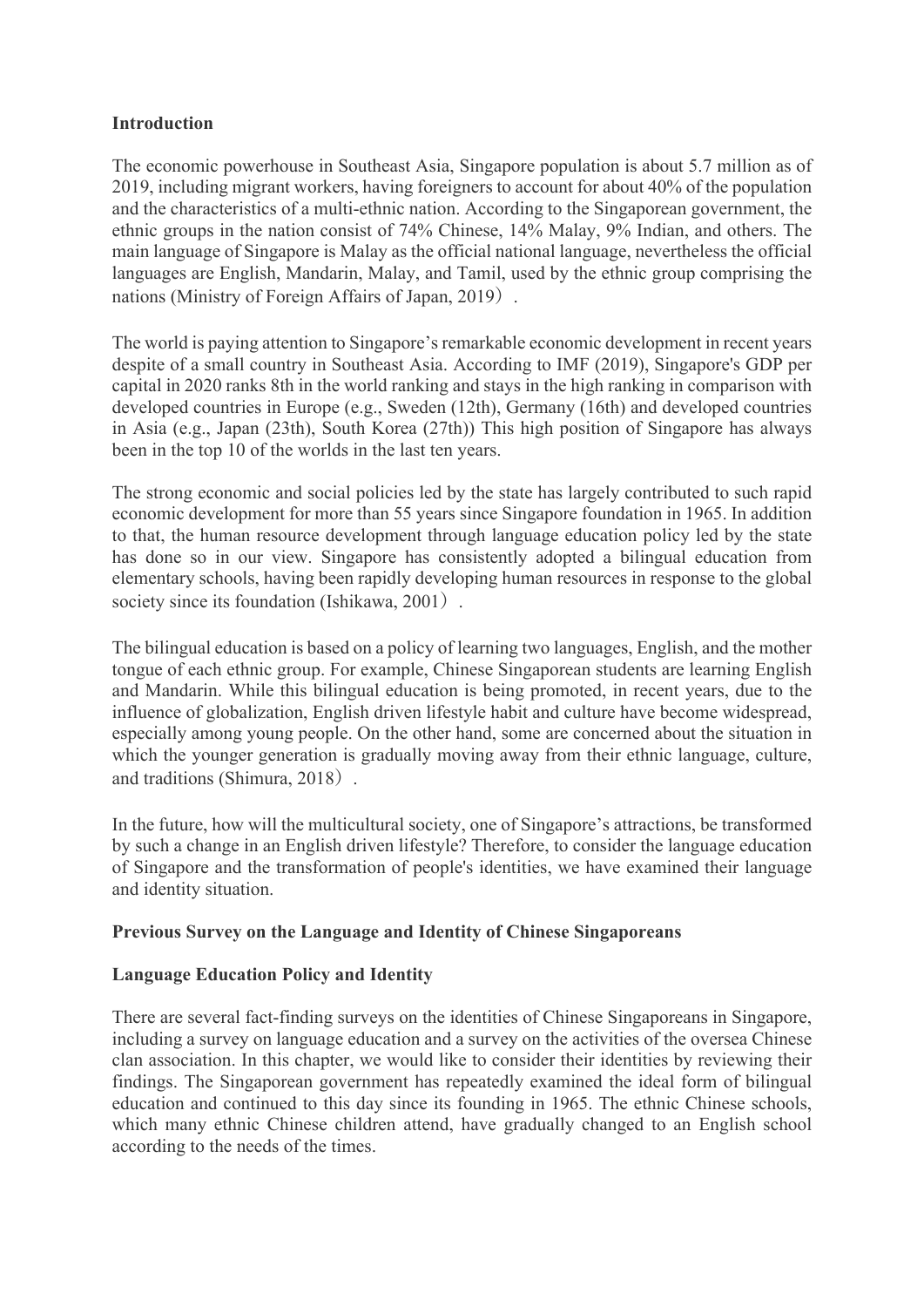### **Introduction**

The economic powerhouse in Southeast Asia, Singapore population is about 5.7 million as of 2019, including migrant workers, having foreigners to account for about 40% of the population and the characteristics of a multi-ethnic nation. According to the Singaporean government, the ethnic groups in the nation consist of 74% Chinese, 14% Malay, 9% Indian, and others. The main language of Singapore is Malay as the official national language, nevertheless the official languages are English, Mandarin, Malay, and Tamil, used by the ethnic group comprising the nations (Ministry of Foreign Affairs of Japan, 2019).

The world is paying attention to Singapore's remarkable economic development in recent years despite of a small country in Southeast Asia. According to IMF (2019), Singapore's GDP per capital in 2020 ranks 8th in the world ranking and stays in the high ranking in comparison with developed countries in Europe (e.g., Sweden (12th), Germany (16th) and developed countries in Asia (e.g., Japan (23th), South Korea (27th)) This high position of Singapore has always been in the top 10 of the worlds in the last ten years.

The strong economic and social policies led by the state has largely contributed to such rapid economic development for more than 55 years since Singapore foundation in 1965. In addition to that, the human resource development through language education policy led by the state has done so in our view. Singapore has consistently adopted a bilingual education from elementary schools, having been rapidly developing human resources in response to the global society since its foundation (Ishikawa, 2001).

The bilingual education is based on a policy of learning two languages, English, and the mother tongue of each ethnic group. For example, Chinese Singaporean students are learning English and Mandarin. While this bilingual education is being promoted, in recent years, due to the influence of globalization, English driven lifestyle habit and culture have become widespread, especially among young people. On the other hand, some are concerned about the situation in which the younger generation is gradually moving away from their ethnic language, culture, and traditions (Shimura, 2018).

In the future, how will the multicultural society, one of Singapore's attractions, be transformed by such a change in an English driven lifestyle? Therefore, to consider the language education of Singapore and the transformation of people's identities, we have examined their language and identity situation.

# **Previous Survey on the Language and Identity of Chinese Singaporeans**

# **Language Education Policy and Identity**

There are several fact-finding surveys on the identities of Chinese Singaporeans in Singapore, including a survey on language education and a survey on the activities of the oversea Chinese clan association. In this chapter, we would like to consider their identities by reviewing their findings. The Singaporean government has repeatedly examined the ideal form of bilingual education and continued to this day since its founding in 1965. The ethnic Chinese schools, which many ethnic Chinese children attend, have gradually changed to an English school according to the needs of the times.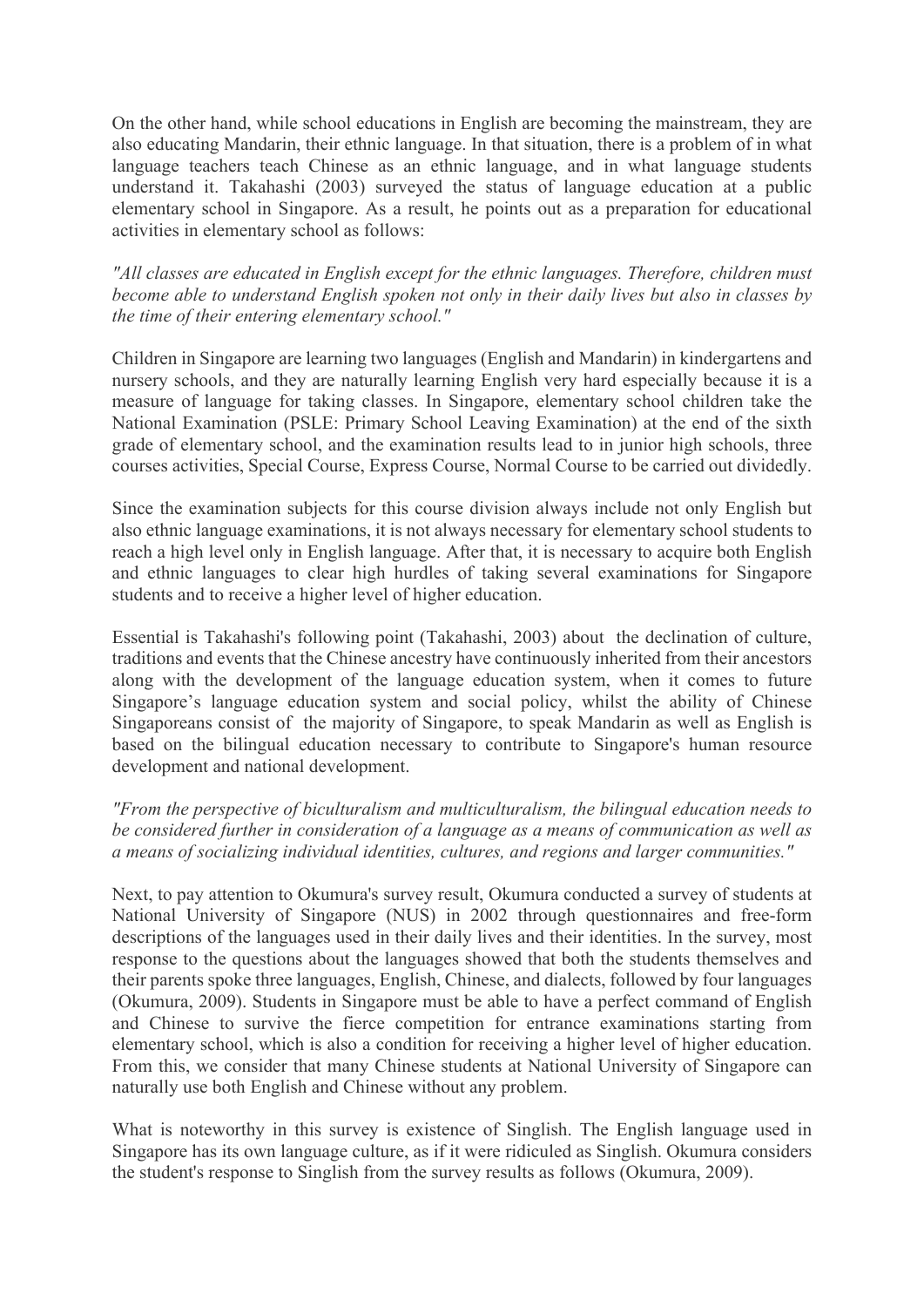On the other hand, while school educations in English are becoming the mainstream, they are also educating Mandarin, their ethnic language. In that situation, there is a problem of in what language teachers teach Chinese as an ethnic language, and in what language students understand it. Takahashi (2003) surveyed the status of language education at a public elementary school in Singapore. As a result, he points out as a preparation for educational activities in elementary school as follows:

*"All classes are educated in English except for the ethnic languages. Therefore, children must become able to understand English spoken not only in their daily lives but also in classes by the time of their entering elementary school."* 

Children in Singapore are learning two languages (English and Mandarin) in kindergartens and nursery schools, and they are naturally learning English very hard especially because it is a measure of language for taking classes. In Singapore, elementary school children take the National Examination (PSLE: Primary School Leaving Examination) at the end of the sixth grade of elementary school, and the examination results lead to in junior high schools, three courses activities, Special Course, Express Course, Normal Course to be carried out dividedly.

Since the examination subjects for this course division always include not only English but also ethnic language examinations, it is not always necessary for elementary school students to reach a high level only in English language. After that, it is necessary to acquire both English and ethnic languages to clear high hurdles of taking several examinations for Singapore students and to receive a higher level of higher education.

Essential is Takahashi's following point (Takahashi, 2003) about the declination of culture, traditions and events that the Chinese ancestry have continuously inherited from their ancestors along with the development of the language education system, when it comes to future Singapore's language education system and social policy, whilst the ability of Chinese Singaporeans consist of the majority of Singapore, to speak Mandarin as well as English is based on the bilingual education necessary to contribute to Singapore's human resource development and national development.

*"From the perspective of biculturalism and multiculturalism, the bilingual education needs to be considered further in consideration of a language as a means of communication as well as a means of socializing individual identities, cultures, and regions and larger communities."* 

Next, to pay attention to Okumura's survey result, Okumura conducted a survey of students at National University of Singapore (NUS) in 2002 through questionnaires and free-form descriptions of the languages used in their daily lives and their identities. In the survey, most response to the questions about the languages showed that both the students themselves and their parents spoke three languages, English, Chinese, and dialects, followed by four languages (Okumura, 2009). Students in Singapore must be able to have a perfect command of English and Chinese to survive the fierce competition for entrance examinations starting from elementary school, which is also a condition for receiving a higher level of higher education. From this, we consider that many Chinese students at National University of Singapore can naturally use both English and Chinese without any problem.

What is noteworthy in this survey is existence of Singlish. The English language used in Singapore has its own language culture, as if it were ridiculed as Singlish. Okumura considers the student's response to Singlish from the survey results as follows (Okumura, 2009).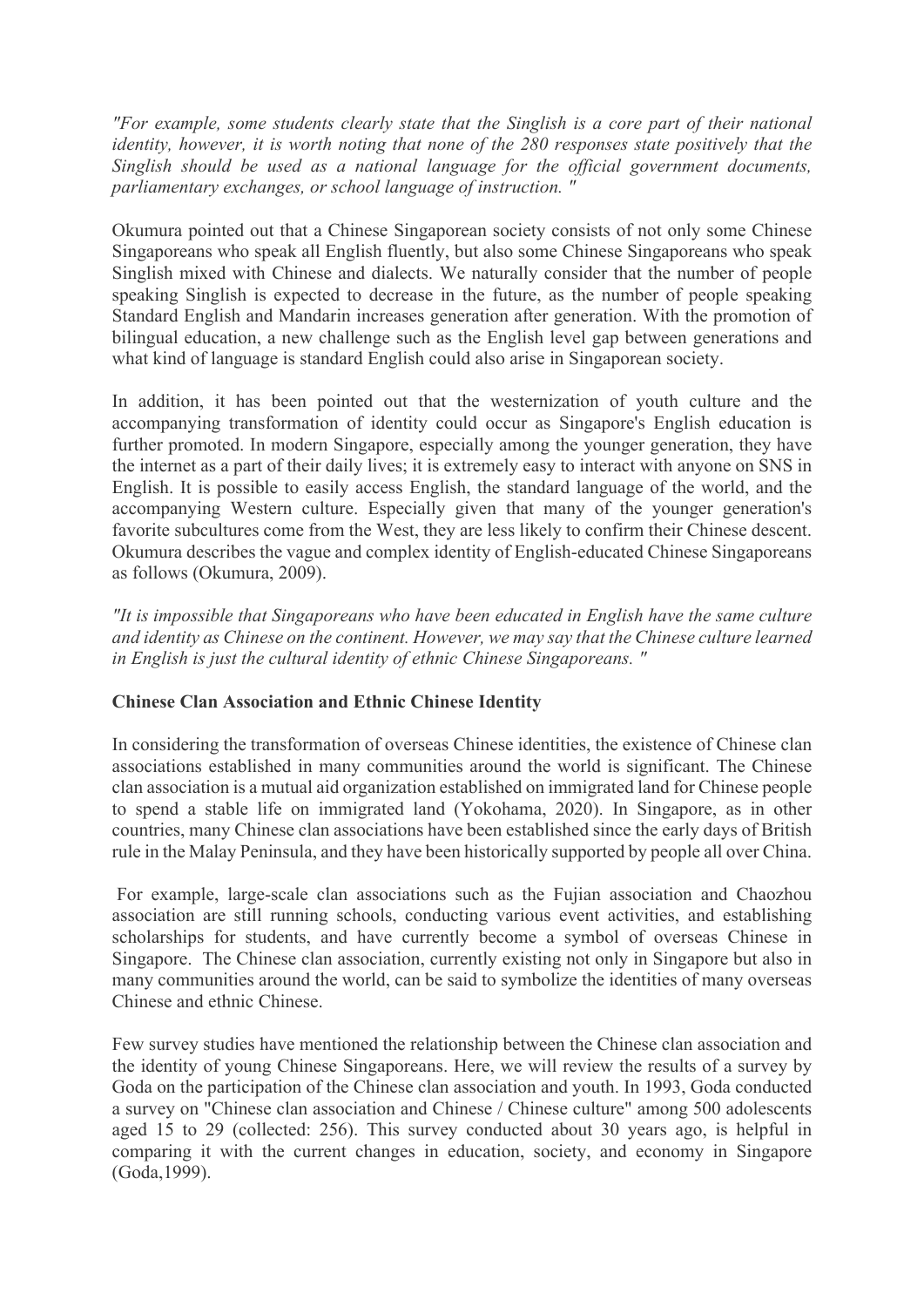*"For example, some students clearly state that the Singlish is a core part of their national identity, however, it is worth noting that none of the 280 responses state positively that the Singlish should be used as a national language for the official government documents, parliamentary exchanges, or school language of instruction. "* 

Okumura pointed out that a Chinese Singaporean society consists of not only some Chinese Singaporeans who speak all English fluently, but also some Chinese Singaporeans who speak Singlish mixed with Chinese and dialects. We naturally consider that the number of people speaking Singlish is expected to decrease in the future, as the number of people speaking Standard English and Mandarin increases generation after generation. With the promotion of bilingual education, a new challenge such as the English level gap between generations and what kind of language is standard English could also arise in Singaporean society.

In addition, it has been pointed out that the westernization of youth culture and the accompanying transformation of identity could occur as Singapore's English education is further promoted. In modern Singapore, especially among the younger generation, they have the internet as a part of their daily lives; it is extremely easy to interact with anyone on SNS in English. It is possible to easily access English, the standard language of the world, and the accompanying Western culture. Especially given that many of the younger generation's favorite subcultures come from the West, they are less likely to confirm their Chinese descent. Okumura describes the vague and complex identity of English-educated Chinese Singaporeans as follows (Okumura, 2009).

*"It is impossible that Singaporeans who have been educated in English have the same culture and identity as Chinese on the continent. However, we may say that the Chinese culture learned in English is just the cultural identity of ethnic Chinese Singaporeans. "* 

# **Chinese Clan Association and Ethnic Chinese Identity**

In considering the transformation of overseas Chinese identities, the existence of Chinese clan associations established in many communities around the world is significant. The Chinese clan association is a mutual aid organization established on immigrated land for Chinese people to spend a stable life on immigrated land (Yokohama, 2020). In Singapore, as in other countries, many Chinese clan associations have been established since the early days of British rule in the Malay Peninsula, and they have been historically supported by people all over China.

For example, large-scale clan associations such as the Fujian association and Chaozhou association are still running schools, conducting various event activities, and establishing scholarships for students, and have currently become a symbol of overseas Chinese in Singapore. The Chinese clan association, currently existing not only in Singapore but also in many communities around the world, can be said to symbolize the identities of many overseas Chinese and ethnic Chinese.

Few survey studies have mentioned the relationship between the Chinese clan association and the identity of young Chinese Singaporeans. Here, we will review the results of a survey by Goda on the participation of the Chinese clan association and youth. In 1993, Goda conducted a survey on "Chinese clan association and Chinese / Chinese culture" among 500 adolescents aged 15 to 29 (collected: 256). This survey conducted about 30 years ago, is helpful in comparing it with the current changes in education, society, and economy in Singapore (Goda,1999).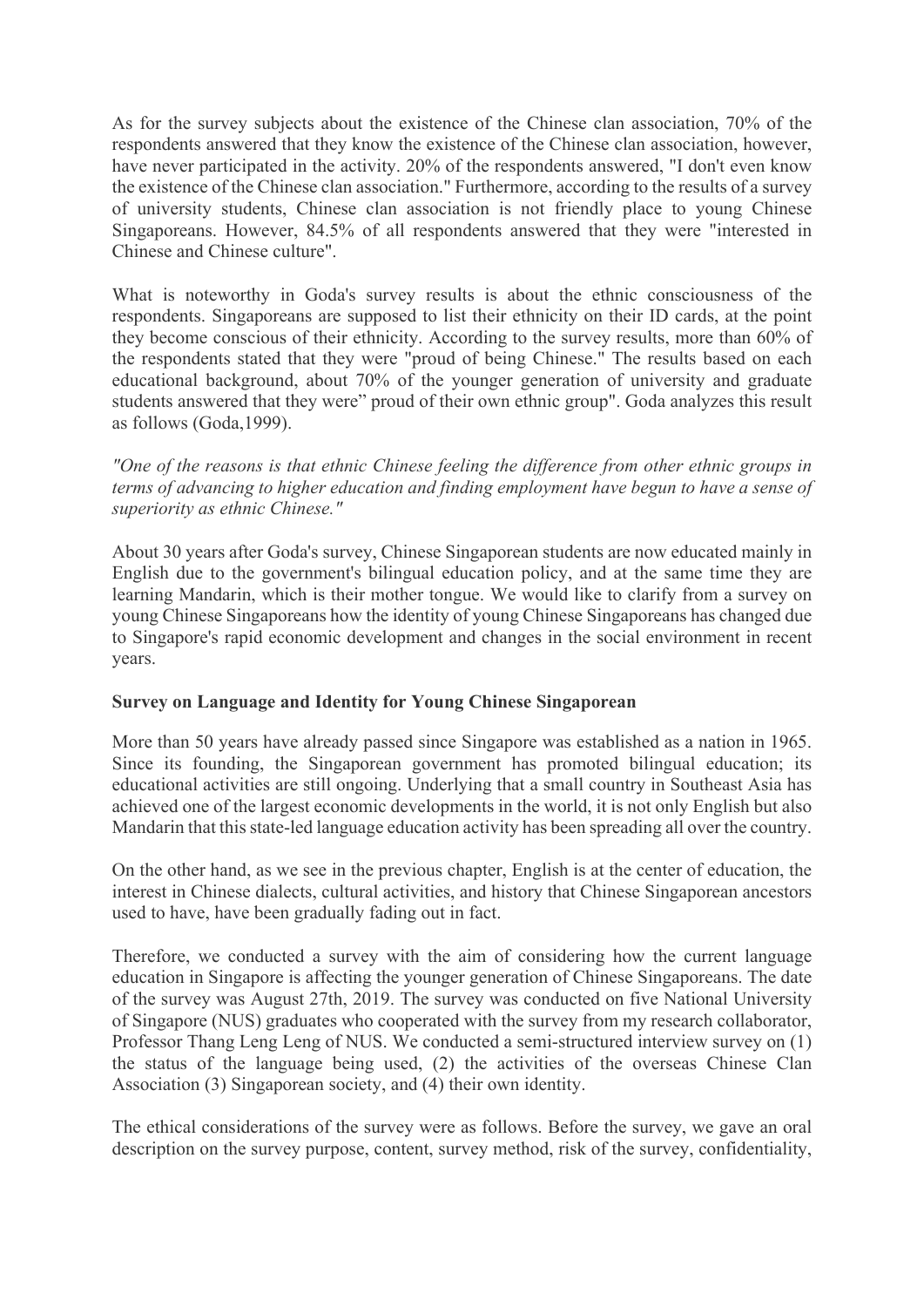As for the survey subjects about the existence of the Chinese clan association, 70% of the respondents answered that they know the existence of the Chinese clan association, however, have never participated in the activity. 20% of the respondents answered, "I don't even know the existence of the Chinese clan association." Furthermore, according to the results of a survey of university students, Chinese clan association is not friendly place to young Chinese Singaporeans. However, 84.5% of all respondents answered that they were "interested in Chinese and Chinese culture".

What is noteworthy in Goda's survey results is about the ethnic consciousness of the respondents. Singaporeans are supposed to list their ethnicity on their ID cards, at the point they become conscious of their ethnicity. According to the survey results, more than 60% of the respondents stated that they were "proud of being Chinese." The results based on each educational background, about 70% of the younger generation of university and graduate students answered that they were" proud of their own ethnic group". Goda analyzes this result as follows (Goda,1999).

*"One of the reasons is that ethnic Chinese feeling the difference from other ethnic groups in terms of advancing to higher education and finding employment have begun to have a sense of superiority as ethnic Chinese."*

About 30 years after Goda's survey, Chinese Singaporean students are now educated mainly in English due to the government's bilingual education policy, and at the same time they are learning Mandarin, which is their mother tongue. We would like to clarify from a survey on young Chinese Singaporeans how the identity of young Chinese Singaporeans has changed due to Singapore's rapid economic development and changes in the social environment in recent years.

# **Survey on Language and Identity for Young Chinese Singaporean**

More than 50 years have already passed since Singapore was established as a nation in 1965. Since its founding, the Singaporean government has promoted bilingual education; its educational activities are still ongoing. Underlying that a small country in Southeast Asia has achieved one of the largest economic developments in the world, it is not only English but also Mandarin that this state-led language education activity has been spreading all over the country.

On the other hand, as we see in the previous chapter, English is at the center of education, the interest in Chinese dialects, cultural activities, and history that Chinese Singaporean ancestors used to have, have been gradually fading out in fact.

Therefore, we conducted a survey with the aim of considering how the current language education in Singapore is affecting the younger generation of Chinese Singaporeans. The date of the survey was August 27th, 2019. The survey was conducted on five National University of Singapore (NUS) graduates who cooperated with the survey from my research collaborator, Professor Thang Leng Leng of NUS. We conducted a semi-structured interview survey on (1) the status of the language being used, (2) the activities of the overseas Chinese Clan Association (3) Singaporean society, and (4) their own identity.

The ethical considerations of the survey were as follows. Before the survey, we gave an oral description on the survey purpose, content, survey method, risk of the survey, confidentiality,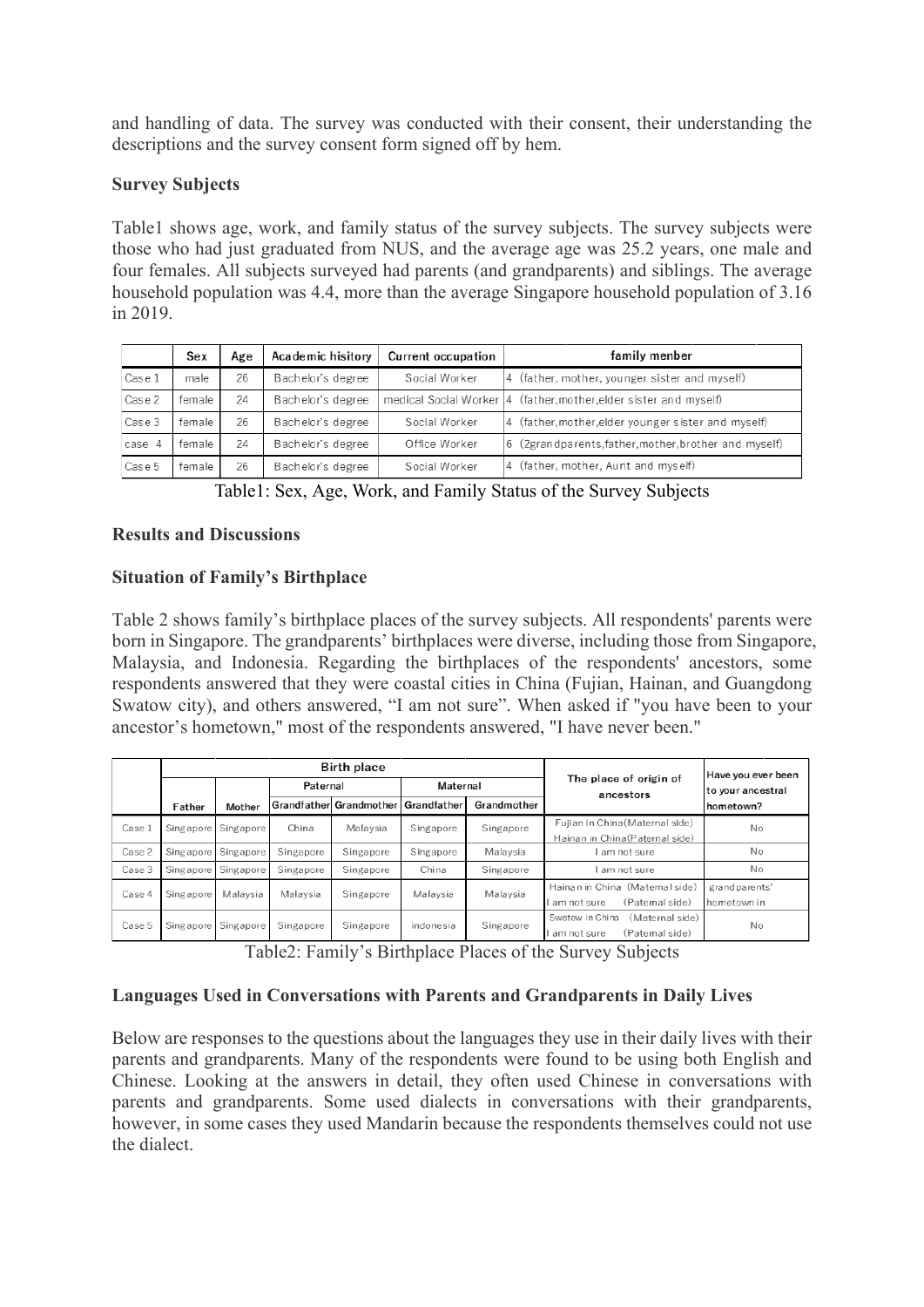and handling of data. The survey was conducted with their consent, their understanding the descriptions and the survey consent form signed off by hem.

### **Survey Subjects**

Table1 shows age, work, and family status of the survey subjects. The survey subjects were those who had just graduated from NUS, and the average age was 25.2 years, one male and four females. All subjects surveyed had parents (and grandparents) and siblings. The average household population was 4.4, more than the average Singapore household population of 3.16 in 2019.

|        | Sex    | Age | Academic hisitory | <b>Current occupation</b> | family menber                                                     |
|--------|--------|-----|-------------------|---------------------------|-------------------------------------------------------------------|
| Case 1 | male   | 26  | Bachelor's degree | Social Worker             | 4 (father, mother, younger sister and myself)                     |
| Case 2 | female | 24  | Bachelor's degree |                           | medical Social Worker 4 (father, mother, elder sister and myself) |
| Case 3 | female | 26  | Bachelor's degree | Social Worker             | 4 (father, mother, elder younger sister and myself)               |
| case 4 | female | 24  | Bachelor's degree | Office Worker             | 6 (2grandparents, father, mother, brother and myself)             |
| Case 5 | female | 26  | Bachelor's degree | Social Worker             | 4 (father, mother, Aunt and myself)                               |

Table1: Sex, Age, Work, and Family Status of the Survey Subjects

### **Results and Discussions**

# **Situation of Family's Birthplace**

Table 2 shows family's birthplace places of the survey subjects. All respondents' parents were born in Singapore. The grandparents' birthplaces were diverse, including those from Singapore, Malaysia, and Indonesia. Regarding the birthplaces of the respondents' ancestors, some respondents answered that they were coastal cities in China (Fujian, Hainan, and Guangdong Swatow city), and others answered, "I am not sure". When asked if "you have been to your ancestor's hometown," most of the respondents answered, "I have never been."

|        | <b>Birth place</b> |               |           |                         |             |             |                                     | Have you ever been |
|--------|--------------------|---------------|-----------|-------------------------|-------------|-------------|-------------------------------------|--------------------|
|        |                    |               | Paternal  |                         | Maternal    |             | The place of origin of<br>ancestors | to your ancestral  |
|        | Father             | <b>Mother</b> |           | Grandfather Grandmother | Grandfather | Grandmother |                                     | hometown?          |
| Case 1 | Singapore          | Singapore     | China     | Malaysia                | Singapore   | Singapore   | Fujian in China (Maternal side)     | Nο                 |
|        |                    |               |           |                         |             |             | Hainan in China (Paternal side)     |                    |
| Case 2 | Singapore          | Singapore     | Singapore | Singapore               | Singapore   | Malaysia    | am not sure                         | No                 |
| Case 3 | Singapore          | Singapore     | Singapore | Singapore               | China       | Singapore   | am not sure                         | No.                |
| Case 4 | Singapore          | Malavsia      | Malavsia  | Singapore               | Malavsia    | Malaysia    | Hainan in China (Maternal side)     | grand parents'     |
|        |                    |               |           |                         |             |             | (Paternal side)<br>am not sure      | hometown in        |
| Case 5 | Singapore          | Singapore     | Singapore | Singapore               | indonesia   | Singapore   | Swatow in China<br>(Maternal side)  | No.                |
|        |                    |               |           |                         |             |             | (Paternal side)<br>am not sure      |                    |

Table2: Family's Birthplace Places of the Survey Subjects

# **Languages Used in Conversations with Parents and Grandparents in Daily Lives**

Below are responses to the questions about the languages they use in their daily lives with their parents and grandparents. Many of the respondents were found to be using both English and Chinese. Looking at the answers in detail, they often used Chinese in conversations with parents and grandparents. Some used dialects in conversations with their grandparents, however, in some cases they used Mandarin because the respondents themselves could not use the dialect.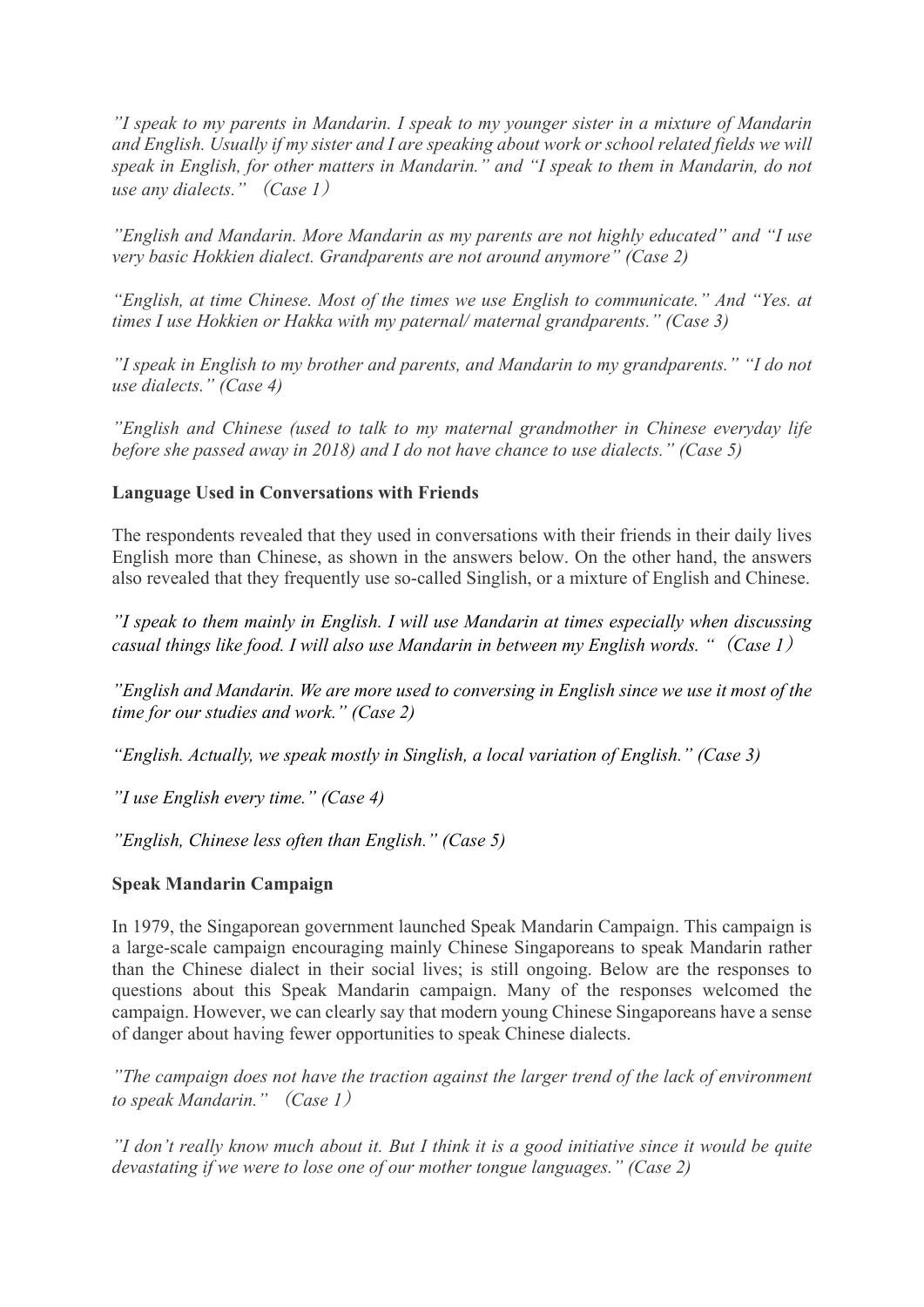*"I speak to my parents in Mandarin. I speak to my younger sister in a mixture of Mandarin and English. Usually if my sister and I are speaking about work or school related fields we will speak in English, for other matters in Mandarin." and "I speak to them in Mandarin, do not use any dialects."* (*Case 1*)

*"English and Mandarin. More Mandarin as my parents are not highly educated" and "I use very basic Hokkien dialect. Grandparents are not around anymore" (Case 2)*

*"English, at time Chinese. Most of the times we use English to communicate." And "Yes. at times I use Hokkien or Hakka with my paternal/ maternal grandparents." (Case 3)*

*"I speak in English to my brother and parents, and Mandarin to my grandparents." "I do not use dialects." (Case 4)*

*"English and Chinese (used to talk to my maternal grandmother in Chinese everyday life before she passed away in 2018) and I do not have chance to use dialects." (Case 5)*

### **Language Used in Conversations with Friends**

The respondents revealed that they used in conversations with their friends in their daily lives English more than Chinese, as shown in the answers below. On the other hand, the answers also revealed that they frequently use so-called Singlish, or a mixture of English and Chinese.

*"I speak to them mainly in English. I will use Mandarin at times especially when discussing casual things like food. I will also use Mandarin in between my English words. "*(*Case 1*)

*"English and Mandarin. We are more used to conversing in English since we use it most of the time for our studies and work." (Case 2)*

*"English. Actually, we speak mostly in Singlish, a local variation of English." (Case 3)*

*"I use English every time." (Case 4)*

*"English, Chinese less often than English." (Case 5)*

#### **Speak Mandarin Campaign**

In 1979, the Singaporean government launched Speak Mandarin Campaign. This campaign is a large-scale campaign encouraging mainly Chinese Singaporeans to speak Mandarin rather than the Chinese dialect in their social lives; is still ongoing. Below are the responses to questions about this Speak Mandarin campaign. Many of the responses welcomed the campaign. However, we can clearly say that modern young Chinese Singaporeans have a sense of danger about having fewer opportunities to speak Chinese dialects.

*"The campaign does not have the traction against the larger trend of the lack of environment to speak Mandarin."* (*Case 1*)

*"I don't really know much about it. But I think it is a good initiative since it would be quite devastating if we were to lose one of our mother tongue languages." (Case 2)*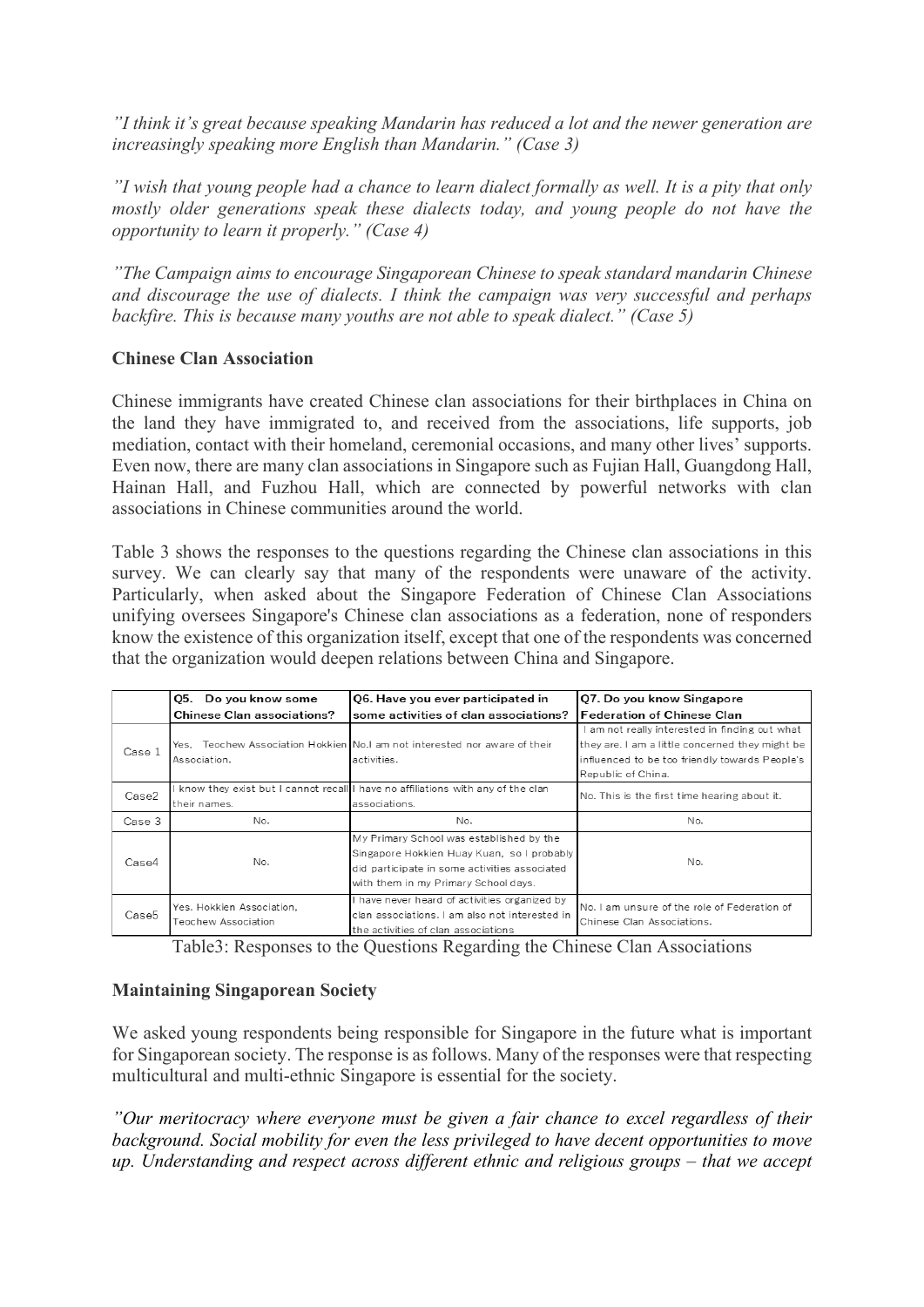*"I think it's great because speaking Mandarin has reduced a lot and the newer generation are increasingly speaking more English than Mandarin." (Case 3)*

*"I wish that young people had a chance to learn dialect formally as well. It is a pity that only mostly older generations speak these dialects today, and young people do not have the opportunity to learn it properly." (Case 4)*

*"The Campaign aims to encourage Singaporean Chinese to speak standard mandarin Chinese and discourage the use of dialects. I think the campaign was very successful and perhaps backfire. This is because many youths are not able to speak dialect." (Case 5)*

### **Chinese Clan Association**

Chinese immigrants have created Chinese clan associations for their birthplaces in China on the land they have immigrated to, and received from the associations, life supports, job mediation, contact with their homeland, ceremonial occasions, and many other lives' supports. Even now, there are many clan associations in Singapore such as Fujian Hall, Guangdong Hall, Hainan Hall, and Fuzhou Hall, which are connected by powerful networks with clan associations in Chinese communities around the world.

Table 3 shows the responses to the questions regarding the Chinese clan associations in this survey. We can clearly say that many of the respondents were unaware of the activity. Particularly, when asked about the Singapore Federation of Chinese Clan Associations unifying oversees Singapore's Chinese clan associations as a federation, none of responders know the existence of this organization itself, except that one of the respondents was concerned that the organization would deepen relations between China and Singapore.

|        | Q5. Do you know some              | Q6. Have you ever participated in                                               | Q7. Do you know Singapore                                                  |  |
|--------|-----------------------------------|---------------------------------------------------------------------------------|----------------------------------------------------------------------------|--|
|        | <b>Chinese Clan associations?</b> | some activities of clan associations?                                           | <b>Federation of Chinese Clan</b>                                          |  |
|        |                                   |                                                                                 | am not really interested in finding out what                               |  |
| Case 1 |                                   | Yes, Teochew Association Hokkien No.I am not interested nor aware of their      | they are. I am a little concerned they might be                            |  |
|        | Association.                      | activities.                                                                     | influenced to be too friendly towards People's                             |  |
|        |                                   |                                                                                 | Republic of China.                                                         |  |
| Case2  |                                   | know they exist but I cannot recall I have no affiliations with any of the clan | No. This is the first time hearing about it.                               |  |
|        | their names.                      | associations.                                                                   |                                                                            |  |
| Case 3 | No.                               | No.                                                                             | No.                                                                        |  |
| Case4  |                                   | My Primary School was established by the                                        |                                                                            |  |
|        |                                   | Singapore Hokkien Huay Kuan, so I probably                                      |                                                                            |  |
|        | No.                               | No.<br>did participate in some activities associated                            |                                                                            |  |
|        |                                   | with them in my Primary School days.                                            |                                                                            |  |
| Case5  | Yes. Hokkien Association,         | I have never heard of activities organized by                                   | No. I am unsure of the role of Federation of<br>Chinese Clan Associations. |  |
|        | Teochew Association               | clan associations. I am also not interested in                                  |                                                                            |  |
|        |                                   | the activities of clan associations                                             |                                                                            |  |

Table3: Responses to the Questions Regarding the Chinese Clan Associations

# **Maintaining Singaporean Society**

We asked young respondents being responsible for Singapore in the future what is important for Singaporean society. The response is as follows. Many of the responses were that respecting multicultural and multi-ethnic Singapore is essential for the society.

*"Our meritocracy where everyone must be given a fair chance to excel regardless of their background. Social mobility for even the less privileged to have decent opportunities to move up. Understanding and respect across different ethnic and religious groups – that we accept*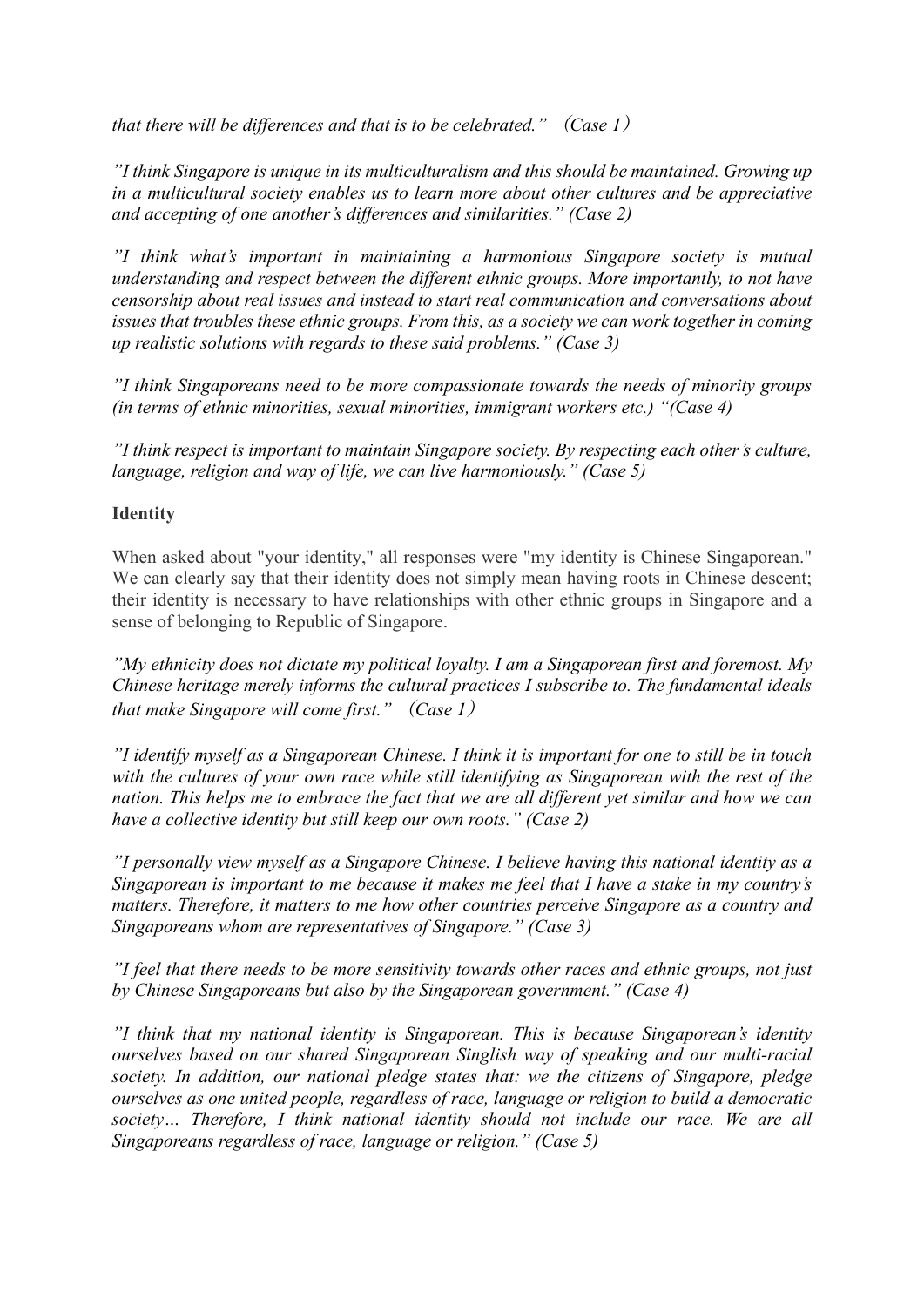*that there will be differences and that is to be celebrated."* (*Case 1*)

*"I think Singapore is unique in its multiculturalism and this should be maintained. Growing up in a multicultural society enables us to learn more about other cultures and be appreciative and accepting of one another's differences and similarities." (Case 2)*

*"I think what's important in maintaining a harmonious Singapore society is mutual understanding and respect between the different ethnic groups. More importantly, to not have censorship about real issues and instead to start real communication and conversations about issues that troubles these ethnic groups. From this, as a society we can work together in coming up realistic solutions with regards to these said problems." (Case 3)*

*"I think Singaporeans need to be more compassionate towards the needs of minority groups (in terms of ethnic minorities, sexual minorities, immigrant workers etc.) "(Case 4)*

*"I think respect is important to maintain Singapore society. By respecting each other's culture, language, religion and way of life, we can live harmoniously." (Case 5)*

# **Identity**

When asked about "your identity," all responses were "my identity is Chinese Singaporean." We can clearly say that their identity does not simply mean having roots in Chinese descent; their identity is necessary to have relationships with other ethnic groups in Singapore and a sense of belonging to Republic of Singapore.

*"My ethnicity does not dictate my political loyalty. I am a Singaporean first and foremost. My Chinese heritage merely informs the cultural practices I subscribe to. The fundamental ideals that make Singapore will come first."* (*Case 1*)

*"I identify myself as a Singaporean Chinese. I think it is important for one to still be in touch with the cultures of your own race while still identifying as Singaporean with the rest of the nation. This helps me to embrace the fact that we are all different yet similar and how we can have a collective identity but still keep our own roots." (Case 2)*

*"I personally view myself as a Singapore Chinese. I believe having this national identity as a Singaporean is important to me because it makes me feel that I have a stake in my country's matters. Therefore, it matters to me how other countries perceive Singapore as a country and Singaporeans whom are representatives of Singapore." (Case 3)*

*"I feel that there needs to be more sensitivity towards other races and ethnic groups, not just by Chinese Singaporeans but also by the Singaporean government." (Case 4)*

*"I think that my national identity is Singaporean. This is because Singaporean's identity ourselves based on our shared Singaporean Singlish way of speaking and our multi-racial society. In addition, our national pledge states that: we the citizens of Singapore, pledge ourselves as one united people, regardless of race, language or religion to build a democratic society… Therefore, I think national identity should not include our race. We are all Singaporeans regardless of race, language or religion." (Case 5)*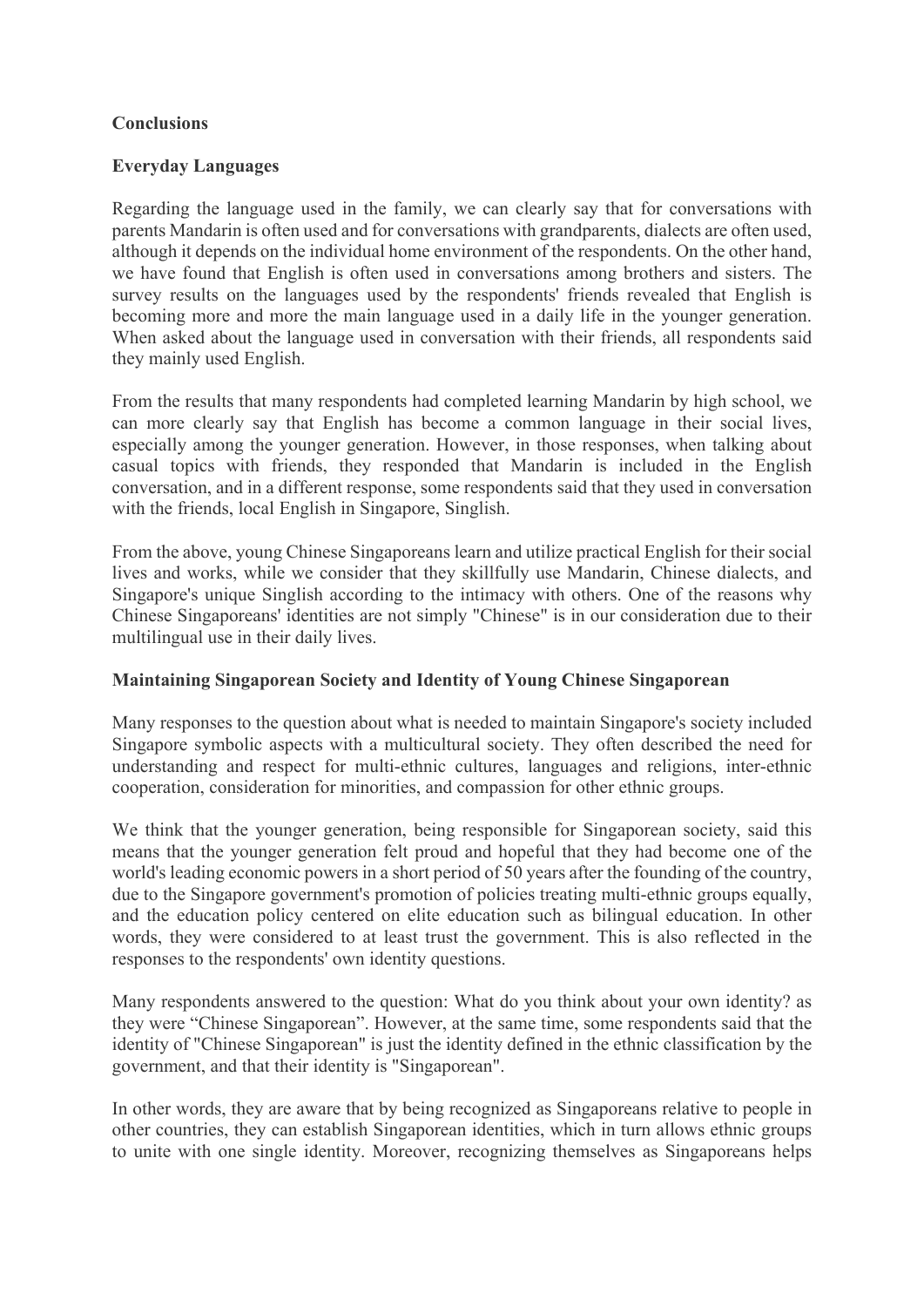### **Conclusions**

### **Everyday Languages**

Regarding the language used in the family, we can clearly say that for conversations with parents Mandarin is often used and for conversations with grandparents, dialects are often used, although it depends on the individual home environment of the respondents. On the other hand, we have found that English is often used in conversations among brothers and sisters. The survey results on the languages used by the respondents' friends revealed that English is becoming more and more the main language used in a daily life in the younger generation. When asked about the language used in conversation with their friends, all respondents said they mainly used English.

From the results that many respondents had completed learning Mandarin by high school, we can more clearly say that English has become a common language in their social lives, especially among the younger generation. However, in those responses, when talking about casual topics with friends, they responded that Mandarin is included in the English conversation, and in a different response, some respondents said that they used in conversation with the friends, local English in Singapore, Singlish.

From the above, young Chinese Singaporeans learn and utilize practical English for their social lives and works, while we consider that they skillfully use Mandarin, Chinese dialects, and Singapore's unique Singlish according to the intimacy with others. One of the reasons why Chinese Singaporeans' identities are not simply "Chinese" is in our consideration due to their multilingual use in their daily lives.

#### **Maintaining Singaporean Society and Identity of Young Chinese Singaporean**

Many responses to the question about what is needed to maintain Singapore's society included Singapore symbolic aspects with a multicultural society. They often described the need for understanding and respect for multi-ethnic cultures, languages and religions, inter-ethnic cooperation, consideration for minorities, and compassion for other ethnic groups.

We think that the younger generation, being responsible for Singaporean society, said this means that the younger generation felt proud and hopeful that they had become one of the world's leading economic powers in a short period of 50 years after the founding of the country, due to the Singapore government's promotion of policies treating multi-ethnic groups equally, and the education policy centered on elite education such as bilingual education. In other words, they were considered to at least trust the government. This is also reflected in the responses to the respondents' own identity questions.

Many respondents answered to the question: What do you think about your own identity? as they were "Chinese Singaporean". However, at the same time, some respondents said that the identity of "Chinese Singaporean" is just the identity defined in the ethnic classification by the government, and that their identity is "Singaporean".

In other words, they are aware that by being recognized as Singaporeans relative to people in other countries, they can establish Singaporean identities, which in turn allows ethnic groups to unite with one single identity. Moreover, recognizing themselves as Singaporeans helps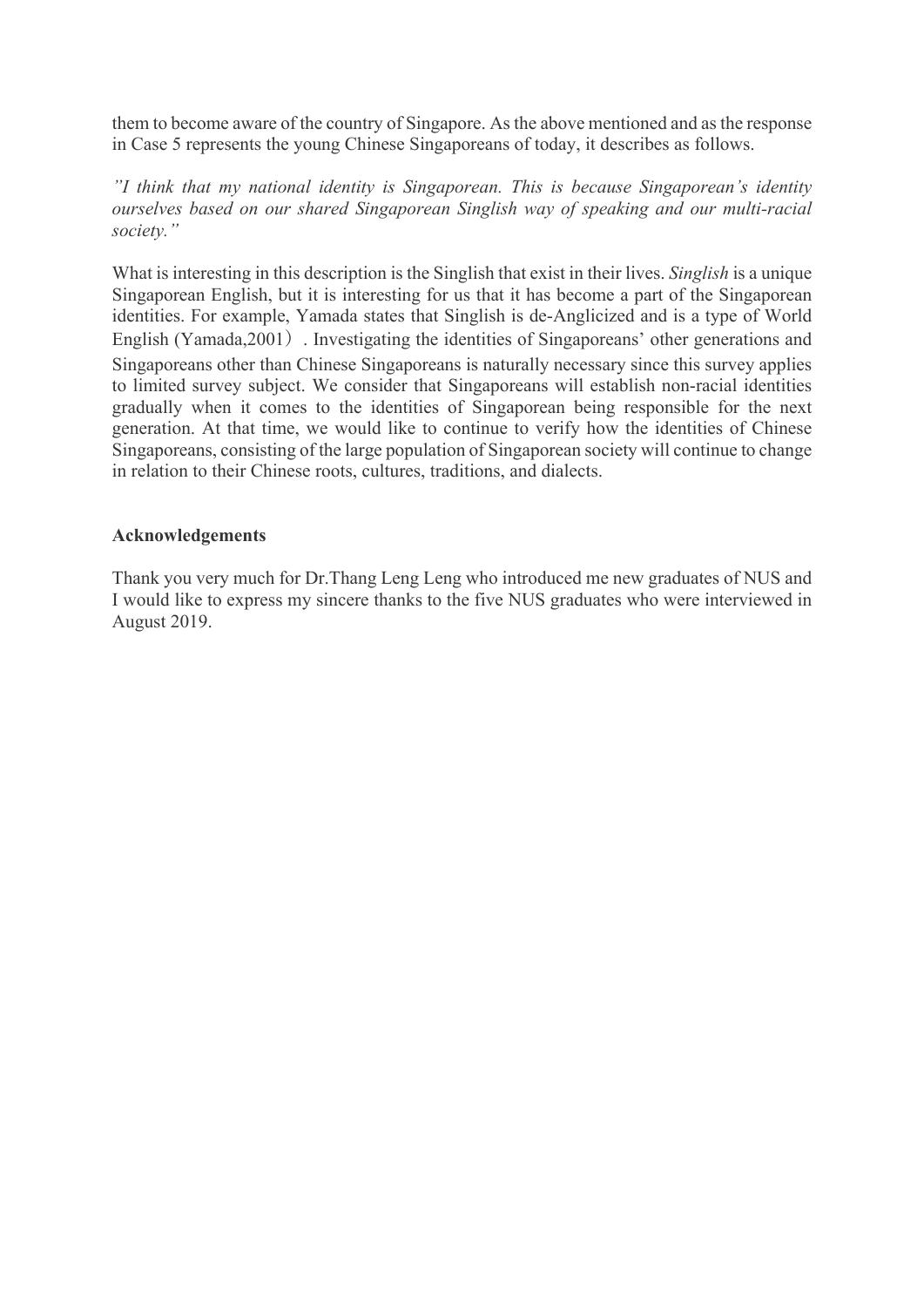them to become aware of the country of Singapore. As the above mentioned and as the response in Case 5 represents the young Chinese Singaporeans of today, it describes as follows.

*"I think that my national identity is Singaporean. This is because Singaporean's identity ourselves based on our shared Singaporean Singlish way of speaking and our multi-racial society."*

What is interesting in this description is the Singlish that exist in their lives. *Singlish* is a unique Singaporean English, but it is interesting for us that it has become a part of the Singaporean identities. For example, Yamada states that Singlish is de-Anglicized and is a type of World English (Yamada,2001). Investigating the identities of Singaporeans' other generations and Singaporeans other than Chinese Singaporeans is naturally necessary since this survey applies to limited survey subject. We consider that Singaporeans will establish non-racial identities gradually when it comes to the identities of Singaporean being responsible for the next generation. At that time, we would like to continue to verify how the identities of Chinese Singaporeans, consisting of the large population of Singaporean society will continue to change in relation to their Chinese roots, cultures, traditions, and dialects.

#### **Acknowledgements**

Thank you very much for Dr.Thang Leng Leng who introduced me new graduates of NUS and I would like to express my sincere thanks to the five NUS graduates who were interviewed in August 2019.